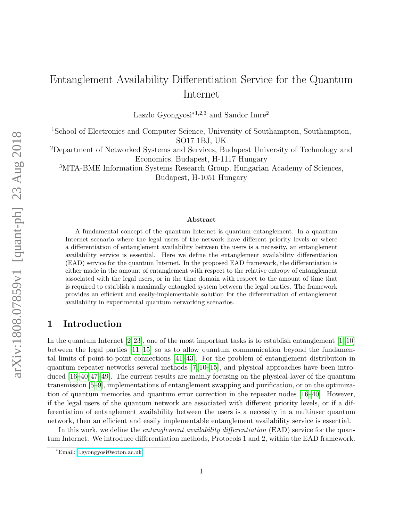# Entanglement Availability Differentiation Service for the Quantum Internet

Laszlo Gyongyosi<sup> $*1,2,3$ </sup> and Sandor Imre<sup>2</sup>

<sup>1</sup>School of Electronics and Computer Science, University of Southampton, Southampton, SO17 1BJ, UK

<sup>2</sup>Department of Networked Systems and Services, Budapest University of Technology and Economics, Budapest, H-1117 Hungary

<sup>3</sup>MTA-BME Information Systems Research Group, Hungarian Academy of Sciences, Budapest, H-1051 Hungary

#### Abstract

A fundamental concept of the quantum Internet is quantum entanglement. In a quantum Internet scenario where the legal users of the network have different priority levels or where a differentiation of entanglement availability between the users is a necessity, an entanglement availability service is essential. Here we define the entanglement availability differentiation (EAD) service for the quantum Internet. In the proposed EAD framework, the differentiation is either made in the amount of entanglement with respect to the relative entropy of entanglement associated with the legal users, or in the time domain with respect to the amount of time that is required to establish a maximally entangled system between the legal parties. The framework provides an efficient and easily-implementable solution for the differentiation of entanglement availability in experimental quantum networking scenarios.

# 1 Introduction

In the quantum Internet  $[2,23]$  $[2,23]$ , one of the most important tasks is to establish entanglement  $[1-10]$  $[1-10]$ between the legal parties  $[11-15]$  $[11-15]$  so as to allow quantum communication beyond the fundamental limits of point-to-point connections [\[41–](#page-12-0)[43\]](#page-12-1). For the problem of entanglement distribution in quantum repeater networks several methods [\[7,](#page-10-5) [10–](#page-10-2)[15\]](#page-10-4), and physical approaches have been introduced [\[16–](#page-11-1)[40,](#page-12-2) [47–](#page-12-3)[49\]](#page-12-4). The current results are mainly focusing on the physical-layer of the quantum transmission [\[5](#page-10-6)[–9\]](#page-10-7), implementations of entanglement swapping and purification, or on the optimization of quantum memories and quantum error correction in the repeater nodes [\[16–](#page-11-1)[40\]](#page-12-2). However, if the legal users of the quantum network are associated with different priority levels, or if a differentiation of entanglement availability between the users is a necessity in a multiuser quantum network, then an efficient and easily implementable entanglement availability service is essential.

In this work, we define the *entanglement availability differentiation* (EAD) service for the quantum Internet. We introduce differentiation methods, Protocols 1 and 2, within the EAD framework.

<sup>∗</sup>Email: [l.gyongyosi@soton.ac.uk](mailto:l.gyongyosi@soton.ac.uk)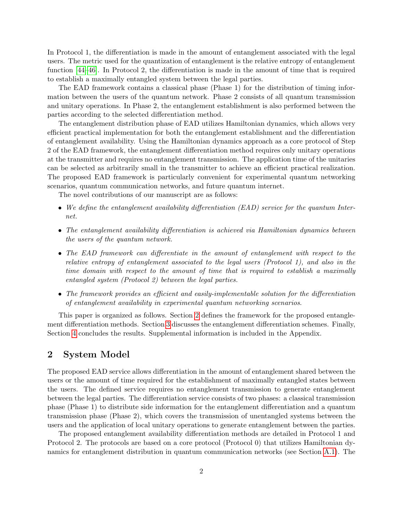In Protocol 1, the differentiation is made in the amount of entanglement associated with the legal users. The metric used for the quantization of entanglement is the relative entropy of entanglement function [\[44–](#page-12-5)[46\]](#page-12-6). In Protocol 2, the differentiation is made in the amount of time that is required to establish a maximally entangled system between the legal parties.

The EAD framework contains a classical phase (Phase 1) for the distribution of timing information between the users of the quantum network. Phase 2 consists of all quantum transmission and unitary operations. In Phase 2, the entanglement establishment is also performed between the parties according to the selected differentiation method.

The entanglement distribution phase of EAD utilizes Hamiltonian dynamics, which allows very efficient practical implementation for both the entanglement establishment and the differentiation of entanglement availability. Using the Hamiltonian dynamics approach as a core protocol of Step 2 of the EAD framework, the entanglement differentiation method requires only unitary operations at the transmitter and requires no entanglement transmission. The application time of the unitaries can be selected as arbitrarily small in the transmitter to achieve an efficient practical realization. The proposed EAD framework is particularly convenient for experimental quantum networking scenarios, quantum communication networks, and future quantum internet.

The novel contributions of our manuscript are as follows:

- We define the entanglement availability differentiation (EAD) service for the quantum Internet.
- The entanglement availability differentiation is achieved via Hamiltonian dynamics between the users of the quantum network.
- The EAD framework can differentiate in the amount of entanglement with respect to the relative entropy of entanglement associated to the legal users (Protocol 1), and also in the time domain with respect to the amount of time that is required to establish a maximally entangled system (Protocol 2) between the legal parties.
- The framework provides an efficient and easily-implementable solution for the differentiation of entanglement availability in experimental quantum networking scenarios.

This paper is organized as follows. Section [2](#page-1-0) defines the framework for the proposed entanglement differentiation methods. Section [3](#page-4-0) discusses the entanglement differentiation schemes. Finally, Section [4](#page-8-0) concludes the results. Supplemental information is included in the Appendix.

# <span id="page-1-0"></span>2 System Model

The proposed EAD service allows differentiation in the amount of entanglement shared between the users or the amount of time required for the establishment of maximally entangled states between the users. The defined service requires no entanglement transmission to generate entanglement between the legal parties. The differentiation service consists of two phases: a classical transmission phase (Phase 1) to distribute side information for the entanglement differentiation and a quantum transmission phase (Phase 2), which covers the transmission of unentangled systems between the users and the application of local unitary operations to generate entanglement between the parties.

The proposed entanglement availability differentiation methods are detailed in Protocol 1 and Protocol 2. The protocols are based on a core protocol (Protocol 0) that utilizes Hamiltonian dynamics for entanglement distribution in quantum communication networks (see Section [A.1\)](#page-13-0). The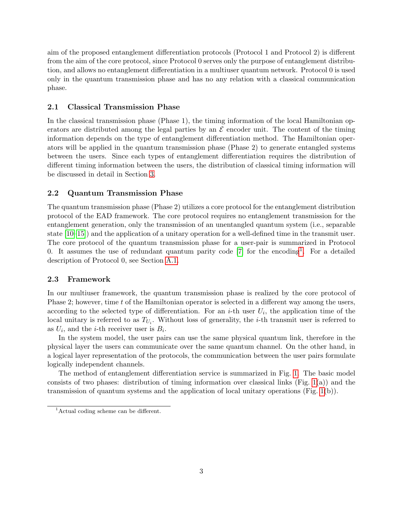aim of the proposed entanglement differentiation protocols (Protocol 1 and Protocol 2) is different from the aim of the core protocol, since Protocol 0 serves only the purpose of entanglement distribution, and allows no entanglement differentiation in a multiuser quantum network. Protocol 0 is used only in the quantum transmission phase and has no any relation with a classical communication phase.

#### 2.1 Classical Transmission Phase

In the classical transmission phase (Phase 1), the timing information of the local Hamiltonian operators are distributed among the legal parties by an  $\mathcal E$  encoder unit. The content of the timing information depends on the type of entanglement differentiation method. The Hamiltonian operators will be applied in the quantum transmission phase (Phase 2) to generate entangled systems between the users. Since each types of entanglement differentiation requires the distribution of different timing information between the users, the distribution of classical timing information will be discussed in detail in Section [3.](#page-4-0)

### 2.2 Quantum Transmission Phase

The quantum transmission phase (Phase 2) utilizes a core protocol for the entanglement distribution protocol of the EAD framework. The core protocol requires no entanglement transmission for the entanglement generation, only the transmission of an unentangled quantum system (i.e., separable state [\[10–](#page-10-2)[15\]](#page-10-4)) and the application of a unitary operation for a well-defined time in the transmit user. The core protocol of the quantum transmission phase for a user-pair is summarized in Protocol 0. It assumes the use of redundant quantum parity code  $[7]$  for the encoding<sup>[1](#page-2-0)</sup>. For a detailed description of Protocol 0, see Section [A.1.](#page-13-0)

### 2.3 Framework

In our multiuser framework, the quantum transmission phase is realized by the core protocol of Phase 2; however, time t of the Hamiltonian operator is selected in a different way among the users, according to the selected type of differentiation. For an *i*-th user  $U_i$ , the application time of the local unitary is referred to as  $T_{U_i}$ . Without loss of generality, the *i*-th transmit user is referred to as  $U_i$ , and the *i*-th receiver user is  $B_i$ .

In the system model, the user pairs can use the same physical quantum link, therefore in the physical layer the users can communicate over the same quantum channel. On the other hand, in a logical layer representation of the protocols, the communication between the user pairs formulate logically independent channels.

The method of entanglement differentiation service is summarized in Fig. [1.](#page-4-1) The basic model consists of two phases: distribution of timing information over classical links (Fig.  $1(a)$ ) and the transmission of quantum systems and the application of local unitary operations (Fig. [1\(](#page-4-1)b)).

<span id="page-2-0"></span><sup>&</sup>lt;sup>1</sup>Actual coding scheme can be different.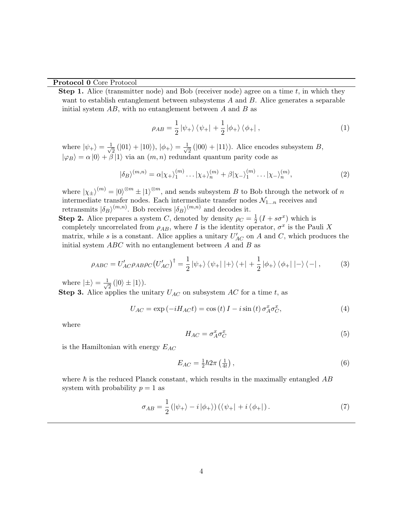#### Protocol 0 Core Protocol

**Step 1.** Alice (transmitter node) and Bob (receiver node) agree on a time  $t$ , in which they want to establish entanglement between subsystems A and B. Alice generates a separable initial system  $AB$ , with no entanglement between A and B as

<span id="page-3-0"></span>
$$
\rho_{AB} = \frac{1}{2} |\psi_+ \rangle \langle \psi_+ | + \frac{1}{2} |\phi_+ \rangle \langle \phi_+ | , \qquad (1)
$$

where  $|\psi_{+}\rangle = \frac{1}{\sqrt{2}}$  $\frac{1}{2}$  (|01\ $\rangle +$ |10\ $\rangle$ ), | $\phi_{+}\rangle = \frac{1}{\sqrt{2}}$  $\frac{1}{2}$  (|00\inepsilon + |11\mathbf{11}). Alice encodes subsystem B,  $|\varphi_B\rangle = \alpha |0\rangle + \beta |1\rangle$  via an  $(m, n)$  redundant quantum parity code as

$$
|\delta_B\rangle^{(m,n)} = \alpha|\chi_+\rangle_1^{(m)}\dots|\chi_+\rangle_n^{(m)} + \beta|\chi_-\rangle_1^{(m)}\dots|\chi_-\rangle_n^{(m)},\tag{2}
$$

where  $|\chi_{\pm}\rangle^{(m)} = |0\rangle^{\otimes m} \pm |1\rangle^{\otimes m}$ , and sends subsystem B to Bob through the network of n intermediate transfer nodes. Each intermediate transfer nodes  $\mathcal{N}_{1...n}$  receives and retransmits  $|\delta_B\rangle^{(m,n)}$ . Bob receives  $|\delta_B\rangle^{(m,n)}$  and decodes it.

**Step 2.** Alice prepares a system C, denoted by density  $\rho_C = \frac{1}{2}$  $\frac{1}{2}(I + s\sigma^x)$  which is completely uncorrelated from  $\rho_{AB}$ , where I is the identity operator,  $\sigma^x$  is the Pauli X matrix, while s is a constant. Alice applies a unitary  $U'_{AC}$  on A and C, which produces the initial system  $ABC$  with no entanglement between A and B as

<span id="page-3-1"></span>
$$
\rho_{ABC} = U'_{AC}\rho_{AB}\rho_C (U'_{AC})^{\dagger} = \frac{1}{2} |\psi_+\rangle \langle \psi_+| |+\rangle \langle +| + \frac{1}{2} |\phi_+\rangle \langle \phi_+| |-\rangle \langle -| , \qquad (3)
$$

where  $|\pm\rangle = \frac{1}{\sqrt{2}}$  $\frac{1}{2}$  (|0\int\_1\times).

**Step 3.** Alice applies the unitary  $U_{AC}$  on subsystem AC for a time t, as

$$
U_{AC} = \exp(-iH_{AC}t) = \cos(t) I - i\sin(t)\sigma_A^x \sigma_C^x,
$$
\n(4)

where

<span id="page-3-3"></span>
$$
H_{AC} = \sigma_A^x \sigma_C^x \tag{5}
$$

is the Hamiltonian with energy  $E_{AC}$ 

<span id="page-3-2"></span>
$$
E_{AC} = \frac{1}{2}\hbar 2\pi \left(\frac{1}{4t}\right),\tag{6}
$$

where  $\hbar$  is the reduced Planck constant, which results in the maximally entangled  $AB$ system with probability  $p = 1$  as

$$
\sigma_{AB} = \frac{1}{2} \left( |\psi_+ \rangle - i |\phi_+ \rangle \right) \left( \langle \psi_+ | + i \langle \phi_+ | \right). \tag{7}
$$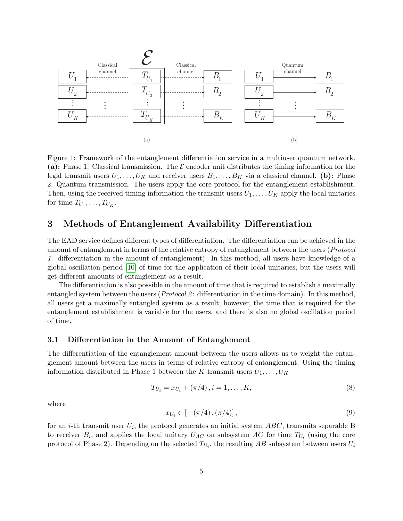

<span id="page-4-1"></span>Figure 1: Framework of the entanglement differentiation service in a multiuser quantum network. (a): Phase 1. Classical transmission. The  $\mathcal E$  encoder unit distributes the timing information for the legal transmit users  $U_1, \ldots, U_K$  and receiver users  $B_1, \ldots, B_K$  via a classical channel. (b): Phase 2. Quantum transmission. The users apply the core protocol for the entanglement establishment. Then, using the received timing information the transmit users  $U_1, \ldots, U_K$  apply the local unitaries for time  $T_{U_1}, \ldots, T_{U_K}$ .

# <span id="page-4-0"></span>3 Methods of Entanglement Availability Differentiation

The EAD service defines different types of differentiation. The differentiation can be achieved in the amount of entanglement in terms of the relative entropy of entanglement between the users (Protocol 1 : differentiation in the amount of entanglement). In this method, all users have knowledge of a global oscillation period [\[10\]](#page-10-2) of time for the application of their local unitaries, but the users will get different amounts of entanglement as a result.

The differentiation is also possible in the amount of time that is required to establish a maximally entangled system between the users (*Protocol 2*: differentiation in the time domain). In this method, all users get a maximally entangled system as a result; however, the time that is required for the entanglement establishment is variable for the users, and there is also no global oscillation period of time.

### 3.1 Differentiation in the Amount of Entanglement

The differentiation of the entanglement amount between the users allows us to weight the entanglement amount between the users in terms of relative entropy of entanglement. Using the timing information distributed in Phase 1 between the K transmit users  $U_1, \ldots, U_K$ 

<span id="page-4-2"></span>
$$
T_{U_i} = x_{U_i} + (\pi/4), i = 1, \dots, K,
$$
\n(8)

where

$$
x_{U_i} \in \left[ -\left(\frac{\pi}{4}\right), \left(\frac{\pi}{4}\right) \right],\tag{9}
$$

for an *i*-th transmit user  $U_i$ , the protocol generates an initial system  $ABC$ , transmits separable B to receiver  $B_i$ , and applies the local unitary  $U_{AC}$  on subsystem AC for time  $T_{U_i}$  (using the core protocol of Phase 2). Depending on the selected  $T_{U_i}$ , the resulting  $AB$  subsystem between users  $U_i$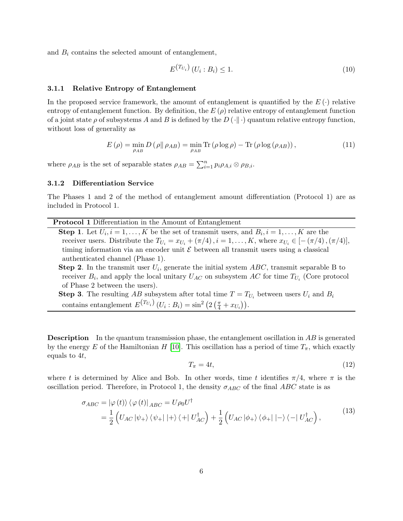and  $B_i$  contains the selected amount of entanglement,

$$
E^{(T_{U_i})} (U_i : B_i) \le 1.
$$
\n
$$
(10)
$$

#### 3.1.1 Relative Entropy of Entanglement

In the proposed service framework, the amount of entanglement is quantified by the  $E(\cdot)$  relative entropy of entanglement function. By definition, the  $E(\rho)$  relative entropy of entanglement function of a joint state  $\rho$  of subsystems A and B is defined by the  $D(\cdot|\cdot)$  quantum relative entropy function, without loss of generality as

$$
E(\rho) = \min_{\rho_{AB}} D(\rho \| \rho_{AB}) = \min_{\rho_{AB}} \text{Tr}(\rho \log \rho) - \text{Tr}(\rho \log(\rho_{AB})), \tag{11}
$$

where  $\rho_{AB}$  is the set of separable states  $\rho_{AB} = \sum_{i=1}^{n} p_i \rho_{A,i} \otimes \rho_{B,i}$ .

#### 3.1.2 Differentiation Service

The Phases 1 and 2 of the method of entanglement amount differentiation (Protocol 1) are as included in Protocol 1.

**Step 1.** Let  $U_i$ ,  $i = 1, ..., K$  be the set of transmit users, and  $B_i$ ,  $i = 1, ..., K$  are the receiver users. Distribute the  $T_{U_i} = x_{U_i} + (\pi/4), i = 1, \ldots, K$ , where  $x_{U_i} \in [-(\pi/4), (\pi/4)],$ timing information via an encoder unit  $\mathcal E$  between all transmit users using a classical authenticated channel (Phase 1).

**Step 2**. In the transmit user  $U_i$ , generate the initial system  $ABC$ , transmit separable B to receiver  $B_i$ , and apply the local unitary  $U_{AC}$  on subsystem AC for time  $T_{U_i}$  (Core protocol of Phase 2 between the users).

**Step 3**. The resulting AB subsystem after total time  $T = T_{U_i}$  between users  $U_i$  and  $B_i$ contains entanglement  $E^{(T_{U_i})}(U_i:B_i) = \sin^2(2(\frac{\pi}{4}+x_{U_i})).$ 

**Description** In the quantum transmission phase, the entanglement oscillation in AB is generated by the energy E of the Hamiltonian H [\[10\]](#page-10-2). This oscillation has a period of time  $T_{\pi}$ , which exactly equals to 4t,

$$
T_{\pi} = 4t,\tag{12}
$$

where t is determined by Alice and Bob. In other words, time t identifies  $\pi/4$ , where  $\pi$  is the oscillation period. Therefore, in Protocol 1, the density  $\sigma_{ABC}$  of the final ABC state is as

$$
\sigma_{ABC} = |\varphi(t)\rangle \langle \varphi(t)|_{ABC} = U\rho_0 U^{\dagger} \n= \frac{1}{2} \left( U_{AC} |\psi_{+}\rangle \langle \psi_{+} | + \rangle \langle + | U_{AC}^{\dagger} \rangle + \frac{1}{2} \left( U_{AC} |\phi_{+}\rangle \langle \phi_{+} | - \rangle \langle - | U_{AC}^{\dagger} \right), \tag{13}
$$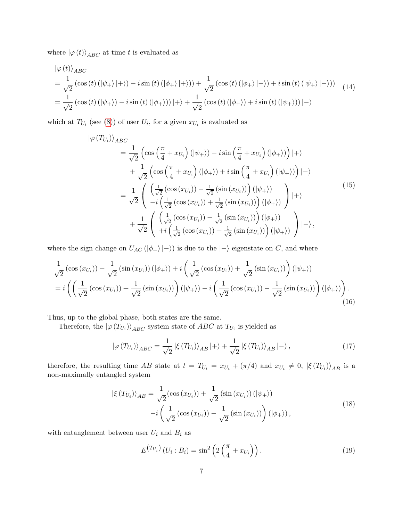where  $\left\vert \varphi\left( t\right) \right\rangle _{ABC}$  at time  $t$  is evaluated as

$$
\begin{split}\n&\left|\varphi(t)\right\rangle_{ABC} \\
&= \frac{1}{\sqrt{2}}\left(\cos\left(t\right)\left(\left|\psi_{+}\right\rangle\right|+\right)-i\sin\left(t\right)\left(\left|\phi_{+}\right\rangle\right|+\right)\right) + \frac{1}{\sqrt{2}}\left(\cos\left(t\right)\left(\left|\phi_{+}\right\rangle\right|-\right) + i\sin\left(t\right)\left(\left|\psi_{+}\right\rangle\right|-\right)) \\
&= \frac{1}{\sqrt{2}}\left(\cos\left(t\right)\left(\left|\psi_{+}\right\rangle\right) - i\sin\left(t\right)\left(\left|\phi_{+}\right\rangle\right)\right| + \right\rangle + \frac{1}{\sqrt{2}}\left(\cos\left(t\right)\left(\left|\phi_{+}\right\rangle\right) + i\sin\left(t\right)\left(\left|\psi_{+}\right\rangle\right)\right|-\right\rangle\n\end{split} \tag{14}
$$

which at  $T_{U_i}$  (see [\(8\)](#page-4-2)) of user  $U_i$ , for a given  $x_{U_i}$  is evaluated as

$$
\begin{split}\n|\varphi(T_{U_i})\rangle_{ABC} \\
&= \frac{1}{\sqrt{2}} \left( \cos\left(\frac{\pi}{4} + x_{U_i}\right) (|\psi_+) \right) - i \sin\left(\frac{\pi}{4} + x_{U_i}\right) (|\phi_+) \right) |+ \rangle \\
&+ \frac{1}{\sqrt{2}} \left( \cos\left(\frac{\pi}{4} + x_{U_i}\right) (|\phi_+) \right) + i \sin\left(\frac{\pi}{4} + x_{U_i}\right) (|\psi_+) \right) |- \rangle \\
&= \frac{1}{\sqrt{2}} \left( \frac{\left(\frac{1}{\sqrt{2}} \left(\cos\left(x_{U_i}\right)\right) - \frac{1}{\sqrt{2}} \left(\sin\left(x_{U_i}\right)\right) \right) (|\psi_+) \right)}{-i \left(\frac{1}{\sqrt{2}} \left(\cos\left(x_{U_i}\right)\right) + \frac{1}{\sqrt{2}} \left(\sin\left(x_{U_i}\right)\right) \right) (|\phi_+) \right)} \right) |+ \rangle \\
&+ \frac{1}{\sqrt{2}} \left( \frac{\left(\frac{1}{\sqrt{2}} \left(\cos\left(x_{U_i}\right)\right) - \frac{1}{\sqrt{2}} \left(\sin\left(x_{U_i}\right)\right) \right) (|\phi_+) \right)}{+i \left(\frac{1}{\sqrt{2}} \left(\cos\left(x_{U_i}\right)\right) - \frac{1}{\sqrt{2}} \left(\sin\left(x_{U_i}\right)\right) \right) (|\psi_+) \right)} \right) |- \rangle, \n\end{split}
$$
\n(15)

where the sign change on  $U_{AC}(\vert \phi_+ \rangle \vert -\rangle)$  is due to the  $\vert -\rangle$  eigenstate on C, and where

$$
\frac{1}{\sqrt{2}}\left(\cos\left(x_{U_i}\right)\right) - \frac{1}{\sqrt{2}}\left(\sin\left(x_{U_i}\right)\right)\left(|\phi_+\rangle\right) + i\left(\frac{1}{\sqrt{2}}\left(\cos\left(x_{U_i}\right)\right) + \frac{1}{\sqrt{2}}\left(\sin\left(x_{U_i}\right)\right)\right)\left(|\psi_+\rangle\right) \n= i\left(\left(\frac{1}{\sqrt{2}}\left(\cos\left(x_{U_i}\right)\right) + \frac{1}{\sqrt{2}}\left(\sin\left(x_{U_i}\right)\right)\right)\left(|\psi_+\rangle\right) - i\left(\frac{1}{\sqrt{2}}\left(\cos\left(x_{U_i}\right)\right) - \frac{1}{\sqrt{2}}\left(\sin\left(x_{U_i}\right)\right)\right)\left(|\phi_+\rangle\right)\right).
$$
\n(16)

Thus, up to the global phase, both states are the same.

Therefore, the  $\ket{\varphi(T_{U_i})}_{ABC}$  system state of  $ABC$  at  $T_{U_i}$  is yielded as

$$
|\varphi(T_{U_i})\rangle_{ABC} = \frac{1}{\sqrt{2}} |\xi(T_{U_i})\rangle_{AB}|+\rangle + \frac{1}{\sqrt{2}} |\xi(T_{U_i})\rangle_{AB}|-\rangle, \qquad (17)
$$

therefore, the resulting time AB state at  $t = T_{U_i} = x_{U_i} + (\pi/4)$  and  $x_{U_i} \neq 0$ ,  $|\xi(T_{U_i})\rangle_{AB}$  is a non-maximally entangled system

$$
\left|\xi(T_{U_i})\right\rangle_{AB} = \frac{1}{\sqrt{2}} (\cos(x_{U_i})) + \frac{1}{\sqrt{2}} (\sin(x_{U_i})) \left(|\psi_+\rangle\right) -i \left(\frac{1}{\sqrt{2}} (\cos(x_{U_i})) - \frac{1}{\sqrt{2}} (\sin(x_{U_i})) \right) \left(|\phi_+\rangle\right),
$$
\n(18)

with entanglement between user  ${\cal U}_i$  and  ${\cal B}_i$  as

$$
E^{(T_{U_i})}\left(U_i:B_i\right) = \sin^2\left(2\left(\frac{\pi}{4} + x_{U_i}\right)\right). \tag{19}
$$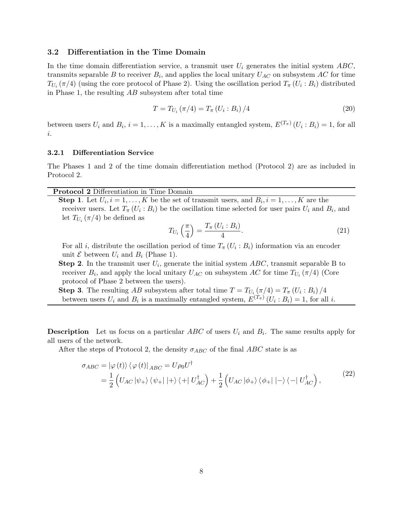## 3.2 Differentiation in the Time Domain

In the time domain differentiation service, a transmit user  $U_i$  generates the initial system  $ABC$ , transmits separable B to receiver  $B_i$ , and applies the local unitary  $U_{AC}$  on subsystem AC for time  $T_{U_i}(\pi/4)$  (using the core protocol of Phase 2). Using the oscillation period  $T_{\pi}(U_i : B_i)$  distributed in Phase 1, the resulting  $AB$  subsystem after total time

$$
T = T_{U_i} (\pi/4) = T_{\pi} (U_i : B_i) / 4
$$
\n(20)

between users  $U_i$  and  $B_i$ ,  $i = 1, ..., K$  is a maximally entangled system,  $E^{(T_{\pi})}(U_i : B_i) = 1$ , for all i.

#### 3.2.1 Differentiation Service

The Phases 1 and 2 of the time domain differentiation method (Protocol 2) are as included in Protocol 2.

## Protocol 2 Differentiation in Time Domain

**Step 1**. Let  $U_i$ ,  $i = 1, ..., K$  be the set of transmit users, and  $B_i$ ,  $i = 1, ..., K$  are the receiver users. Let  $T_{\pi}(U_i : B_i)$  be the oscillation time selected for user pairs  $U_i$  and  $B_i$ , and let  $T_{U_i}(\pi/4)$  be defined as

$$
T_{U_i}\left(\frac{\pi}{4}\right) = \frac{T_\pi\left(U_i : B_i\right)}{4}.\tag{21}
$$

For all *i*, distribute the oscillation period of time  $T_{\pi}(U_i : B_i)$  information via an encoder unit  $\mathcal E$  between  $U_i$  and  $B_i$  (Phase 1).

**Step 2**. In the transmit user  $U_i$ , generate the initial system  $ABC$ , transmit separable B to receiver  $B_i$ , and apply the local unitary  $U_{AC}$  on subsystem AC for time  $T_{U_i}(\pi/4)$  (Core protocol of Phase 2 between the users).

**Step 3.** The resulting AB subsystem after total time  $T = T_{U_i} (\pi/4) = T_{\pi} (U_i : B_i) / 4$ between users  $U_i$  and  $B_i$  is a maximally entangled system,  $E^{(T_{\pi})}(U_i : B_i) = 1$ , for all i.

**Description** Let us focus on a particular  $ABC$  of users  $U_i$  and  $B_i$ . The same results apply for all users of the network.

After the steps of Protocol 2, the density  $\sigma_{ABC}$  of the final ABC state is as

$$
\sigma_{ABC} = |\varphi(t)\rangle \langle \varphi(t)|_{ABC} = U\rho_0 U^{\dagger} \n= \frac{1}{2} \left( U_{AC} |\psi_{+}\rangle \langle \psi_{+} | + \rangle \langle + | U_{AC}^{\dagger} \rangle + \frac{1}{2} \left( U_{AC} |\phi_{+}\rangle \langle \phi_{+} | - \rangle \langle - | U_{AC}^{\dagger} \right), \tag{22}
$$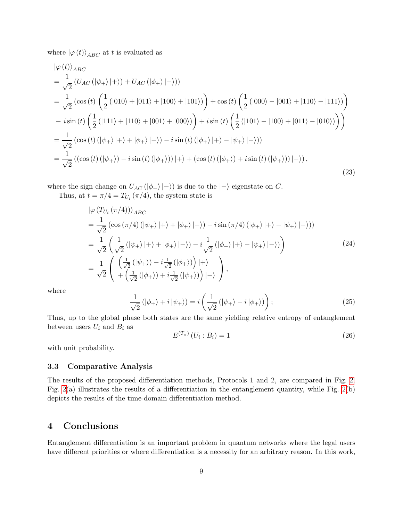where  $|\varphi(t)\rangle_{ABC}$  at t is evaluated as

$$
\begin{split}\n&\left|\varphi(t)\right\rangle_{ABC} \\
&= \frac{1}{\sqrt{2}} \left( U_{AC} \left( |\psi_{+} \rangle |+ \right) \right) + U_{AC} \left( |\phi_{+} \rangle |- \right) \right) \\
&= \frac{1}{\sqrt{2}} \left( \cos \left( t \right) \left( \frac{1}{2} \left( |010 \rangle + |011 \rangle + |100 \rangle + |101 \rangle \right) \right) + \cos \left( t \right) \left( \frac{1}{2} \left( |000 \rangle - |001 \rangle + |110 \rangle - |111 \rangle \right) \right) \\
&- i \sin \left( t \right) \left( \frac{1}{2} \left( |111 \rangle + |110 \rangle + |001 \rangle + |000 \rangle \right) \right) + i \sin \left( t \right) \left( \frac{1}{2} \left( |101 \rangle - |100 \rangle + |011 \rangle - |010 \rangle \right) \right) \right) \\
&= \frac{1}{\sqrt{2}} \left( \cos \left( t \right) \left( |\psi_{+} \rangle |+ \rangle + |\phi_{+} \rangle |- \rangle \right) - i \sin \left( t \right) \left( |\phi_{+} \rangle |+ \rangle - |\psi_{+} \rangle |- \rangle \right) \\
&= \frac{1}{\sqrt{2}} \left( \left( \cos \left( t \right) \left( |\psi_{+} \rangle \right) - i \sin \left( t \right) \left( |\phi_{+} \rangle \right) \right) |+ \rangle + \left( \cos \left( t \right) \left( |\phi_{+} \rangle \right) + i \sin \left( t \right) \left( |\psi_{+} \rangle \right) \right) |- \rangle \right),\n\end{split}
$$
\n(23)

where the sign change on  $U_{AC}(\vert \phi_+ \rangle \vert -\rangle)$  is due to the  $\vert -\rangle$  eigenstate on C.

Thus, at  $t = \pi/4 = T_{U_i}(\pi/4)$ , the system state is

$$
\begin{split}\n&\left|\varphi\left(T_{U_{i}}\left(\pi/4\right)\right)\right\rangle_{ABC} \\
&=\frac{1}{\sqrt{2}}\left(\cos\left(\pi/4\right)\left(|\psi_{+}\rangle\left|+\right\rangle+\left|\phi_{+}\rangle\left|-\right\rangle\right)-i\sin\left(\pi/4\right)\left(|\phi_{+}\rangle\left|+\right\rangle-\left|\psi_{+}\rangle\left|-\right\rangle\right)\right) \\
&=\frac{1}{\sqrt{2}}\left(\frac{1}{\sqrt{2}}\left(|\psi_{+}\rangle\left|+\right\rangle+\left|\phi_{+}\rangle\left|-\right\rangle\right)-i\frac{1}{\sqrt{2}}\left(|\phi_{+}\rangle\left|+\right\rangle-\left|\psi_{+}\rangle\left|-\right\rangle\right)\right) \\
&=\frac{1}{\sqrt{2}}\left(\frac{\left(\frac{1}{\sqrt{2}}\left(|\psi_{+}\rangle\right)-i\frac{1}{\sqrt{2}}\left(|\phi_{+}\rangle\right)\right)|+\rangle}{+\left(\frac{1}{\sqrt{2}}\left(|\phi_{+}\rangle\right)+i\frac{1}{\sqrt{2}}\left(|\psi_{+}\rangle\right)\right)|-\rangle}\right),\n\end{split}
$$
\n(24)

where

$$
\frac{1}{\sqrt{2}}\left(|\phi_{+}\rangle+i|\psi_{+}\rangle\right)=i\left(\frac{1}{\sqrt{2}}\left(|\psi_{+}\rangle-i|\phi_{+}\rangle\right)\right);
$$
\n(25)

Thus, up to the global phase both states are the same yielding relative entropy of entanglement between users  $U_i$  and  $B_i$  as

$$
E^{(T_{\pi})}(U_i : B_i) = 1
$$
\n(26)

with unit probability.

### 3.3 Comparative Analysis

The results of the proposed differentiation methods, Protocols 1 and 2, are compared in Fig. [2.](#page-9-0) Fig. [2\(](#page-9-0)a) illustrates the results of a differentiation in the entanglement quantity, while Fig. [2\(](#page-9-0)b) depicts the results of the time-domain differentiation method.

# <span id="page-8-0"></span>4 Conclusions

Entanglement differentiation is an important problem in quantum networks where the legal users have different priorities or where differentiation is a necessity for an arbitrary reason. In this work,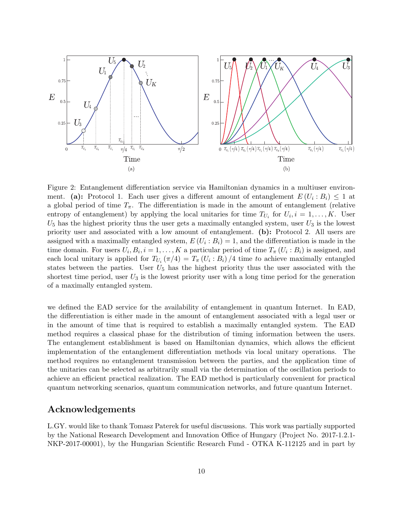

<span id="page-9-0"></span>Figure 2: Entanglement differentiation service via Hamiltonian dynamics in a multiuser environment. (a): Protocol 1. Each user gives a different amount of entanglement  $E(U_i : B_i) \leq 1$  at a global period of time  $T_{\pi}$ . The differentiation is made in the amount of entanglement (relative entropy of entanglement) by applying the local unitaries for time  $T_{U_i}$  for  $U_i$ ,  $i = 1, \ldots, K$ . User  $U_5$  has the highest priority thus the user gets a maximally entangled system, user  $U_3$  is the lowest priority user and associated with a low amount of entanglement. (b): Protocol 2. All users are assigned with a maximally entangled system,  $E(U_i : B_i) = 1$ , and the differentiation is made in the time domain. For users  $U_i, B_i, i = 1, ..., K$  a particular period of time  $T_{\pi}(U_i : B_i)$  is assigned, and each local unitary is applied for  $T_{U_i}(\pi/4) = T_{\pi}(U_i : B_i)/4$  time to achieve maximally entangled states between the parties. User  $U_5$  has the highest priority thus the user associated with the shortest time period, user  $U_3$  is the lowest priority user with a long time period for the generation of a maximally entangled system.

we defined the EAD service for the availability of entanglement in quantum Internet. In EAD, the differentiation is either made in the amount of entanglement associated with a legal user or in the amount of time that is required to establish a maximally entangled system. The EAD method requires a classical phase for the distribution of timing information between the users. The entanglement establishment is based on Hamiltonian dynamics, which allows the efficient implementation of the entanglement differentiation methods via local unitary operations. The method requires no entanglement transmission between the parties, and the application time of the unitaries can be selected as arbitrarily small via the determination of the oscillation periods to achieve an efficient practical realization. The EAD method is particularly convenient for practical quantum networking scenarios, quantum communication networks, and future quantum Internet.

# Acknowledgements

L.GY. would like to thank Tomasz Paterek for useful discussions. This work was partially supported by the National Research Development and Innovation Office of Hungary (Project No. 2017-1.2.1- NKP-2017-00001), by the Hungarian Scientific Research Fund - OTKA K-112125 and in part by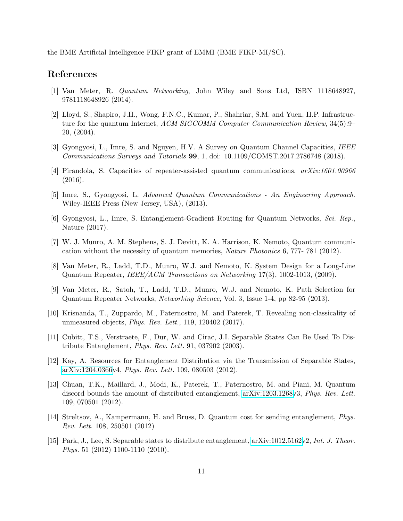the BME Artificial Intelligence FIKP grant of EMMI (BME FIKP-MI/SC).

# References

- <span id="page-10-1"></span>[1] Van Meter, R. Quantum Networking, John Wiley and Sons Ltd, ISBN 1118648927, 9781118648926 (2014).
- <span id="page-10-0"></span>[2] Lloyd, S., Shapiro, J.H., Wong, F.N.C., Kumar, P., Shahriar, S.M. and Yuen, H.P. Infrastructure for the quantum Internet, ACM SIGCOMM Computer Communication Review, 34(5):9– 20, (2004).
- [3] Gyongyosi, L., Imre, S. and Nguyen, H.V. A Survey on Quantum Channel Capacities, IEEE Communications Surveys and Tutorials 99, 1, doi: 10.1109/COMST.2017.2786748 (2018).
- [4] Pirandola, S. Capacities of repeater-assisted quantum communications, arXiv:1601.00966 (2016).
- <span id="page-10-6"></span>[5] Imre, S., Gyongyosi, L. Advanced Quantum Communications - An Engineering Approach. Wiley-IEEE Press (New Jersey, USA), (2013).
- [6] Gyongyosi, L., Imre, S. Entanglement-Gradient Routing for Quantum Networks, Sci. Rep., Nature (2017).
- <span id="page-10-5"></span>[7] W. J. Munro, A. M. Stephens, S. J. Devitt, K. A. Harrison, K. Nemoto, Quantum communication without the necessity of quantum memories, Nature Photonics 6, 777- 781 (2012).
- [8] Van Meter, R., Ladd, T.D., Munro, W.J. and Nemoto, K. System Design for a Long-Line Quantum Repeater, IEEE/ACM Transactions on Networking 17(3), 1002-1013, (2009).
- <span id="page-10-7"></span>[9] Van Meter, R., Satoh, T., Ladd, T.D., Munro, W.J. and Nemoto, K. Path Selection for Quantum Repeater Networks, Networking Science, Vol. 3, Issue 1-4, pp 82-95 (2013).
- <span id="page-10-2"></span>[10] Krisnanda, T., Zuppardo, M., Paternostro, M. and Paterek, T. Revealing non-classicality of unmeasured objects, Phys. Rev. Lett., 119, 120402 (2017).
- <span id="page-10-3"></span>[11] Cubitt, T.S., Verstraete, F., Dur, W. and Cirac, J.I. Separable States Can Be Used To Distribute Entanglement, Phys. Rev. Lett. 91, 037902 (2003).
- [12] Kay, A. Resources for Entanglement Distribution via the Transmission of Separable States, [arXiv:1204.0366v](http://arxiv.org/abs/1204.0366)4, Phys. Rev. Lett. 109, 080503 (2012).
- [13] Chuan, T.K., Maillard, J., Modi, K., Paterek, T., Paternostro, M. and Piani, M. Quantum discord bounds the amount of distributed entanglement, [arXiv:1203.1268v](http://arxiv.org/abs/1203.1268)3, Phys. Rev. Lett. 109, 070501 (2012).
- [14] Streltsov, A., Kampermann, H. and Bruss, D. Quantum cost for sending entanglement, Phys. Rev. Lett. 108, 250501 (2012)
- <span id="page-10-4"></span>[15] Park, J., Lee, S. Separable states to distribute entanglement, [arXiv:1012.5162v](http://arxiv.org/abs/1012.5162)2, Int. J. Theor. Phys. 51 (2012) 1100-1110 (2010).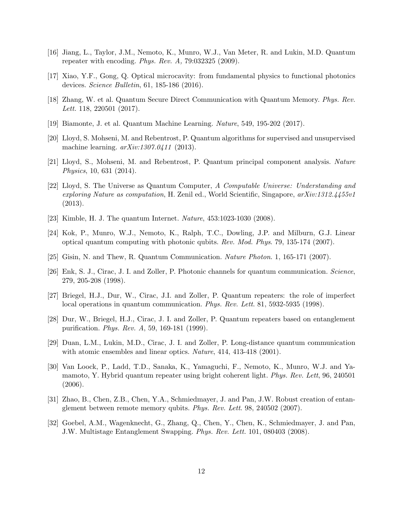- <span id="page-11-1"></span>[16] Jiang, L., Taylor, J.M., Nemoto, K., Munro, W.J., Van Meter, R. and Lukin, M.D. Quantum repeater with encoding. Phys. Rev. A, 79:032325 (2009).
- [17] Xiao, Y.F., Gong, Q. Optical microcavity: from fundamental physics to functional photonics devices. Science Bulletin, 61, 185-186 (2016).
- [18] Zhang, W. et al. Quantum Secure Direct Communication with Quantum Memory. Phys. Rev. Lett. 118, 220501 (2017).
- [19] Biamonte, J. et al. Quantum Machine Learning. Nature, 549, 195-202 (2017).
- [20] Lloyd, S. Mohseni, M. and Rebentrost, P. Quantum algorithms for supervised and unsupervised machine learning.  $arXiv:1307.0411$  (2013).
- [21] Lloyd, S., Mohseni, M. and Rebentrost, P. Quantum principal component analysis. Nature Physics, 10, 631 (2014).
- [22] Lloyd, S. The Universe as Quantum Computer, A Computable Universe: Understanding and exploring Nature as computation, H. Zenil ed., World Scientific, Singapore,  $arXiv:1312.4455v1$ (2013).
- <span id="page-11-0"></span>[23] Kimble, H. J. The quantum Internet. Nature, 453:1023-1030 (2008).
- [24] Kok, P., Munro, W.J., Nemoto, K., Ralph, T.C., Dowling, J.P. and Milburn, G.J. Linear optical quantum computing with photonic qubits. Rev. Mod. Phys. 79, 135-174 (2007).
- [25] Gisin, N. and Thew, R. Quantum Communication. Nature Photon. 1, 165-171 (2007).
- [26] Enk, S. J., Cirac, J. I. and Zoller, P. Photonic channels for quantum communication. Science, 279, 205-208 (1998).
- [27] Briegel, H.J., Dur, W., Cirac, J.I. and Zoller, P. Quantum repeaters: the role of imperfect local operations in quantum communication. Phys. Rev. Lett. 81, 5932-5935 (1998).
- [28] Dur, W., Briegel, H.J., Cirac, J. I. and Zoller, P. Quantum repeaters based on entanglement purification. Phys. Rev. A, 59, 169-181 (1999).
- [29] Duan, L.M., Lukin, M.D., Cirac, J. I. and Zoller, P. Long-distance quantum communication with atomic ensembles and linear optics. *Nature*, 414, 413-418 (2001).
- [30] Van Loock, P., Ladd, T.D., Sanaka, K., Yamaguchi, F., Nemoto, K., Munro, W.J. and Yamamoto, Y. Hybrid quantum repeater using bright coherent light. Phys. Rev. Lett, 96, 240501 (2006).
- [31] Zhao, B., Chen, Z.B., Chen, Y.A., Schmiedmayer, J. and Pan, J.W. Robust creation of entanglement between remote memory qubits. Phys. Rev. Lett. 98, 240502 (2007).
- [32] Goebel, A.M., Wagenknecht, G., Zhang, Q., Chen, Y., Chen, K., Schmiedmayer, J. and Pan, J.W. Multistage Entanglement Swapping. Phys. Rev. Lett. 101, 080403 (2008).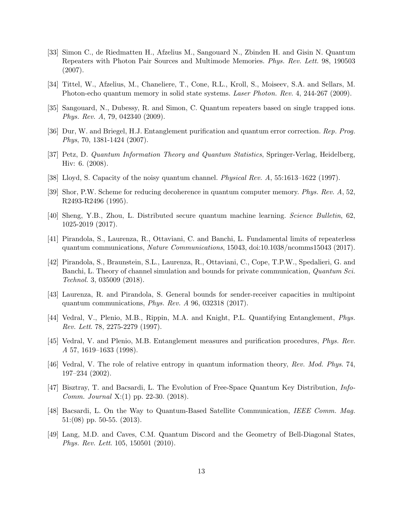- [33] Simon C., de Riedmatten H., Afzelius M., Sangouard N., Zbinden H. and Gisin N. Quantum Repeaters with Photon Pair Sources and Multimode Memories. Phys. Rev. Lett. 98, 190503 (2007).
- [34] Tittel, W., Afzelius, M., Chaneliere, T., Cone, R.L., Kroll, S., Moiseev, S.A. and Sellars, M. Photon-echo quantum memory in solid state systems. Laser Photon. Rev. 4, 244-267 (2009).
- [35] Sangouard, N., Dubessy, R. and Simon, C. Quantum repeaters based on single trapped ions. Phys. Rev. A, 79, 042340 (2009).
- [36] Dur, W. and Briegel, H.J. Entanglement purification and quantum error correction. Rep. Prog. Phys, 70, 1381-1424 (2007).
- [37] Petz, D. Quantum Information Theory and Quantum Statistics, Springer-Verlag, Heidelberg, Hiv: 6. (2008).
- [38] Lloyd, S. Capacity of the noisy quantum channel. *Physical Rev. A*, 55:1613–1622 (1997).
- [39] Shor, P.W. Scheme for reducing decoherence in quantum computer memory. Phys. Rev. A, 52, R2493-R2496 (1995).
- <span id="page-12-2"></span>[40] Sheng, Y.B., Zhou, L. Distributed secure quantum machine learning. Science Bulletin, 62, 1025-2019 (2017).
- <span id="page-12-0"></span>[41] Pirandola, S., Laurenza, R., Ottaviani, C. and Banchi, L. Fundamental limits of repeaterless quantum communications, Nature Communications, 15043, doi:10.1038/ncomms15043 (2017).
- [42] Pirandola, S., Braunstein, S.L., Laurenza, R., Ottaviani, C., Cope, T.P.W., Spedalieri, G. and Banchi, L. Theory of channel simulation and bounds for private communication, Quantum Sci. Technol. 3, 035009 (2018).
- <span id="page-12-1"></span>[43] Laurenza, R. and Pirandola, S. General bounds for sender-receiver capacities in multipoint quantum communications, Phys. Rev. A 96, 032318 (2017).
- <span id="page-12-5"></span>[44] Vedral, V., Plenio, M.B., Rippin, M.A. and Knight, P.L. Quantifying Entanglement, Phys. Rev. Lett. 78, 2275-2279 (1997).
- [45] Vedral, V. and Plenio, M.B. Entanglement measures and purification procedures, Phys. Rev. A 57, 1619–1633 (1998).
- <span id="page-12-6"></span>[46] Vedral, V. The role of relative entropy in quantum information theory, Rev. Mod. Phys. 74, 197–234 (2002).
- <span id="page-12-3"></span>[47] Bisztray, T. and Bacsardi, L. The Evolution of Free-Space Quantum Key Distribution, *Info-*Comm. Journal X:(1) pp. 22-30. (2018).
- [48] Bacsardi, L. On the Way to Quantum-Based Satellite Communication, IEEE Comm. Mag. 51:(08) pp. 50-55. (2013).
- <span id="page-12-4"></span>[49] Lang, M.D. and Caves, C.M. Quantum Discord and the Geometry of Bell-Diagonal States, Phys. Rev. Lett. 105, 150501 (2010).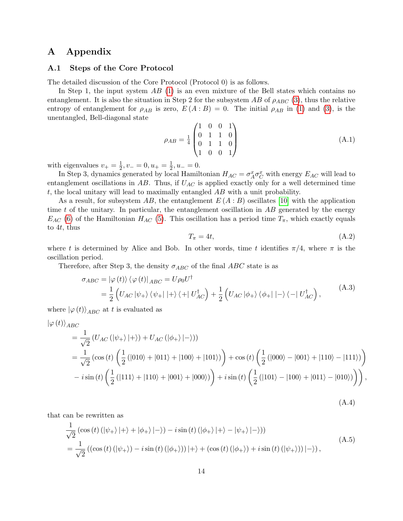# A Appendix

### <span id="page-13-0"></span>A.1 Steps of the Core Protocol

The detailed discussion of the Core Protocol (Protocol 0) is as follows.

In Step 1, the input system  $AB$  [\(1\)](#page-3-0) is an even mixture of the Bell states which contains no entanglement. It is also the situation in Step 2 for the subsystem AB of  $\rho_{ABC}$  [\(3\)](#page-3-1), thus the relative entropy of entanglement for  $\rho_{AB}$  is zero,  $E(A:B) = 0$ . The initial  $\rho_{AB}$  in [\(1\)](#page-3-0) and [\(3\)](#page-3-1), is the unentangled, Bell-diagonal state

$$
\rho_{AB} = \frac{1}{4} \begin{pmatrix} 1 & 0 & 0 & 1 \\ 0 & 1 & 1 & 0 \\ 0 & 1 & 1 & 0 \\ 1 & 0 & 0 & 1 \end{pmatrix}
$$
 (A.1)

with eigenvalues  $v_+ = \frac{1}{2}$  $\frac{1}{2}, v_- = 0, u_+ = \frac{1}{2}$  $\frac{1}{2}$ ,  $u_- = 0$ .

In Step 3, dynamics generated by local Hamiltonian  $H_{AC} = \sigma_A^x \sigma_C^x$  with energy  $E_{AC}$  will lead to entanglement oscillations in  $AB$ . Thus, if  $U_{AC}$  is applied exactly only for a well determined time t, the local unitary will lead to maximally entangled AB with a unit probability.

As a result, for subsystem AB, the entanglement  $E(A : B)$  oscillates [\[10\]](#page-10-2) with the application time t of the unitary. In particular, the entanglement oscillation in  $AB$  generated by the energy  $E_{AC}$  [\(6\)](#page-3-2) of the Hamiltonian  $H_{AC}$  [\(5\)](#page-3-3). This oscillation has a period time  $T_{\pi}$ , which exactly equals to 4t, thus

$$
T_{\pi} = 4t, \tag{A.2}
$$

where t is determined by Alice and Bob. In other words, time t identifies  $\pi/4$ , where  $\pi$  is the oscillation period.

Therefore, after Step 3, the density  $\sigma_{ABC}$  of the final ABC state is as

$$
\sigma_{ABC} = |\varphi(t)\rangle \langle \varphi(t)|_{ABC} = U\rho_0 U^{\dagger}
$$
  
=  $\frac{1}{2} \left( U_{AC} |\psi_+\rangle \langle \psi_+| + |\rangle \langle + |U_{AC}^{\dagger} \rangle + \frac{1}{2} \left( U_{AC} |\phi_+\rangle \langle \phi_+| - |\rangle \langle - |U_{AC}^{\dagger} \rangle \right),$  (A.3)

where  $|\varphi(t)\rangle_{ABC}$  at t is evaluated as

$$
\begin{split}\n&\left|\varphi(t)\right\rangle_{ABC} \\
&= \frac{1}{\sqrt{2}} \left( U_{AC} \left( |\psi_{+} \rangle |+ \rangle \right) + U_{AC} \left( |\phi_{+} \rangle |- \rangle \right) \right) \\
&= \frac{1}{\sqrt{2}} \left( \cos \left( t \right) \left( \frac{1}{2} \left( |010 \rangle + |011 \rangle + |100 \rangle + |101 \rangle \right) \right) + \cos \left( t \right) \left( \frac{1}{2} \left( |000 \rangle - |001 \rangle + |110 \rangle - |111 \rangle \right) \right) \\
&- i \sin \left( t \right) \left( \frac{1}{2} \left( |111 \rangle + |110 \rangle + |001 \rangle + |000 \rangle \right) \right) + i \sin \left( t \right) \left( \frac{1}{2} \left( |101 \rangle - |100 \rangle + |011 \rangle - |010 \rangle \right) \right),\n\end{split}
$$

(A.4)

that can be rewritten as

$$
\frac{1}{\sqrt{2}}\left(\cos\left(t\right)\left(\left|\psi_{+}\right\rangle\right+\right)+\left|\phi_{+}\right\rangle\left|-\right\rangle\right)-i\sin\left(t\right)\left(\left|\phi_{+}\right\rangle\right|+\right\rangle-\left|\psi_{+}\right\rangle\left|-\right\rangle\right)\right)
$$
\n
$$
=\frac{1}{\sqrt{2}}\left(\left(\cos\left(t\right)\left(\left|\psi_{+}\right\rangle\right)-i\sin\left(t\right)\left(\left|\phi_{+}\right\rangle\right)\right|+\right\rangle+\left(\cos\left(t\right)\left(\left|\phi_{+}\right\rangle\right)+i\sin\left(t\right)\left(\left|\psi_{+}\right\rangle\right)\right|-\right\rangle\right),\tag{A.5}
$$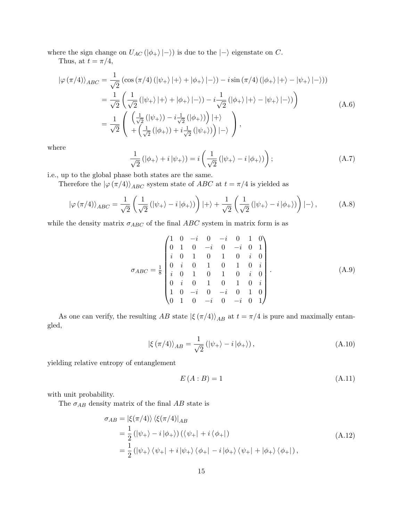where the sign change on  $U_{AC} (\vert \phi_+ \rangle \vert -\rangle)$  is due to the  $\vert -\rangle$  eigenstate on C.

Thus, at  $t = \pi/4$ ,

$$
|\varphi(\pi/4)\rangle_{ABC} = \frac{1}{\sqrt{2}} \left( \cos(\pi/4) \left( |\psi_+ \rangle | + \rangle + |\phi_+ \rangle | - \rangle \right) - i \sin(\pi/4) \left( |\phi_+ \rangle | + \rangle - |\psi_+ \rangle | - \rangle \right) \right)
$$
  

$$
= \frac{1}{\sqrt{2}} \left( \frac{1}{\sqrt{2}} \left( |\psi_+ \rangle | + \rangle + |\phi_+ \rangle | - \rangle \right) - i \frac{1}{\sqrt{2}} \left( |\phi_+ \rangle | + \rangle - |\psi_+ \rangle | - \rangle \right) \right)
$$
  

$$
= \frac{1}{\sqrt{2}} \left( \frac{\left( \frac{1}{\sqrt{2}} \left( |\psi_+ \rangle \right) - i \frac{1}{\sqrt{2}} \left( |\phi_+ \rangle \right) \right) | + \rangle}{\left( \frac{1}{\sqrt{2}} \left( |\phi_+ \rangle \right) + i \frac{1}{\sqrt{2}} \left( |\psi_+ \rangle \right) \right) | - \rangle} \right),
$$
(A.6)

where

$$
\frac{1}{\sqrt{2}}\left(|\phi_{+}\rangle+i|\psi_{+}\rangle\right)=i\left(\frac{1}{\sqrt{2}}\left(|\psi_{+}\rangle-i|\phi_{+}\rangle\right)\right);
$$
\n(A.7)

i.e., up to the global phase both states are the same.

Therefore the  $|\varphi(\pi/4)\rangle_{ABC}$  system state of ABC at  $t = \pi/4$  is yielded as

$$
|\varphi(\pi/4)\rangle_{ABC} = \frac{1}{\sqrt{2}} \left( \frac{1}{\sqrt{2}} \left( |\psi_+\rangle - i | \phi_+\rangle \right) \right) |+\rangle + \frac{1}{\sqrt{2}} \left( \frac{1}{\sqrt{2}} \left( |\psi_+\rangle - i | \phi_+\rangle \right) \right) |-\rangle, \tag{A.8}
$$

while the density matrix  $\sigma_{ABC}$  of the final  $ABC$  system in matrix form is as

$$
\sigma_{ABC} = \frac{1}{8} \begin{pmatrix}\n1 & 0 & -i & 0 & -i & 0 & 1 & 0 \\
0 & 1 & 0 & -i & 0 & -i & 0 & 1 \\
i & 0 & 1 & 0 & 1 & 0 & i & 0 \\
0 & i & 0 & 1 & 0 & 1 & 0 & i \\
i & 0 & 1 & 0 & 1 & 0 & i & 0 \\
0 & i & 0 & 1 & 0 & 1 & 0 & i \\
1 & 0 & -i & 0 & -i & 0 & 1 & 0 \\
0 & 1 & 0 & -i & 0 & -i & 0 & 1\n\end{pmatrix}.
$$
\n(A.9)

As one can verify, the resulting AB state  $|\xi(\pi/4)\rangle_{AB}$  at  $t = \pi/4$  is pure and maximally entangled,

$$
|\xi(\pi/4)\rangle_{AB} = \frac{1}{\sqrt{2}} (|\psi_+\rangle - i |\phi_+\rangle), \qquad (A.10)
$$

yielding relative entropy of entanglement

$$
E(A:B) = 1\tag{A.11}
$$

with unit probability.

The  $\sigma_{AB}$  density matrix of the final  $AB$  state is

$$
\sigma_{AB} = |\xi(\pi/4)\rangle \langle \xi(\pi/4)|_{AB}
$$
  
=  $\frac{1}{2} (|\psi_+\rangle - i |\phi_+\rangle) (\langle \psi_+| + i \langle \phi_+|)$   
=  $\frac{1}{2} (|\psi_+\rangle \langle \psi_+| + i |\psi_+\rangle \langle \phi_+| - i |\phi_+\rangle \langle \psi_+| + |\phi_+\rangle \langle \phi_+|),$  (A.12)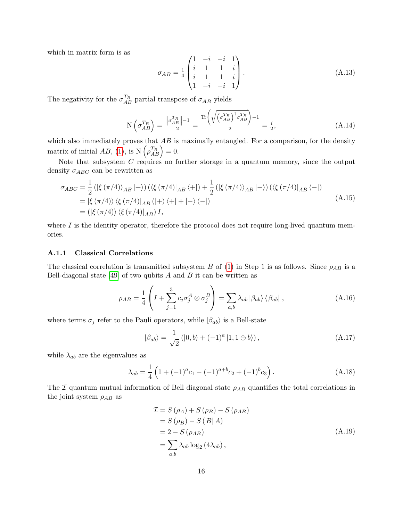which in matrix form is as

$$
\sigma_{AB} = \frac{1}{4} \begin{pmatrix} 1 & -i & -i & 1 \\ i & 1 & 1 & i \\ i & 1 & 1 & i \\ 1 & -i & -i & 1 \end{pmatrix} .
$$
 (A.13)

The negativity for the  $\sigma_{AB}^{T_B}$  partial transpose of  $\sigma_{AB}$  yields

$$
N\left(\sigma_{AB}^{T_B}\right) = \frac{\left\|\sigma_{AB}^{T_B}\right\| - 1}{2} = \frac{\text{Tr}\left(\sqrt{\left(\sigma_{AB}^{T_B}\right)^{\dagger}\sigma_{AB}^{T_B}}\right) - 1}{2} = \frac{i}{2},\tag{A.14}
$$

which also immediately proves that  $AB$  is maximally entangled. For a comparison, for the density matrix of initial  $AB$ , [\(1\)](#page-3-0), is  $N(\rho_{AB}^{T_B}) = 0$ .

Note that subsystem  $C$  requires no further storage in a quantum memory, since the output density  $\sigma_{ABC}$  can be rewritten as

$$
\sigma_{ABC} = \frac{1}{2} \left( \left| \xi \left( \frac{\pi}{4} \right) \right\rangle_{AB} \right| + \rangle \right) \left( \left\langle \xi \left( \frac{\pi}{4} \right) \right|_{AB} \left\langle + \right| \right) + \frac{1}{2} \left( \left| \xi \left( \frac{\pi}{4} \right) \right\rangle_{AB} \right| - \rangle \right) \left( \left\langle \xi \left( \frac{\pi}{4} \right) \right|_{AB} \left\langle - \right| \right)
$$
\n
$$
= \left| \xi \left( \frac{\pi}{4} \right) \right\rangle \left\langle \xi \left( \frac{\pi}{4} \right) \right|_{AB} \left( \left| + \right\rangle \left\langle + \right| + \left| - \right\rangle \left\langle - \right| \right)
$$
\n
$$
= \left( \left| \xi \left( \frac{\pi}{4} \right) \right\rangle \left\langle \xi \left( \frac{\pi}{4} \right) \right|_{AB} \right) I,
$$
\n(A.15)

where  $I$  is the identity operator, therefore the protocol does not require long-lived quantum memories.

#### A.1.1 Classical Correlations

The classical correlation is transmitted subsystem B of [\(1\)](#page-3-0) in Step 1 is as follows. Since  $\rho_{AB}$  is a Bell-diagonal state [\[49\]](#page-12-4) of two qubits  $A$  and  $B$  it can be written as

$$
\rho_{AB} = \frac{1}{4} \left( I + \sum_{j=1}^{3} c_j \sigma_j^A \otimes \sigma_j^B \right) = \sum_{a,b} \lambda_{ab} \left| \beta_{ab} \right\rangle \left\langle \beta_{ab} \right|, \tag{A.16}
$$

where terms  $\sigma_j$  refer to the Pauli operators, while  $|\beta_{ab}\rangle$  is a Bell-state

$$
|\beta_{ab}\rangle = \frac{1}{\sqrt{2}} (|0,b\rangle + (-1)^a |1,1 \oplus b\rangle), \qquad (A.17)
$$

while  $\lambda_{ab}$  are the eigenvalues as

$$
\lambda_{ab} = \frac{1}{4} \left( 1 + (-1)^a c_1 - (-1)^{a+b} c_2 + (-1)^b c_3 \right). \tag{A.18}
$$

The I quantum mutual information of Bell diagonal state  $\rho_{AB}$  quantifies the total correlations in the joint system  $\rho_{AB}$  as

$$
\mathcal{I} = S(\rho_A) + S(\rho_B) - S(\rho_{AB})
$$
  
= S(\rho\_B) - S(B|A)  
= 2 - S(\rho\_{AB})  
= \sum\_{a,b} \lambda\_{ab} \log\_2 (4\lambda\_{ab}), \qquad (A.19)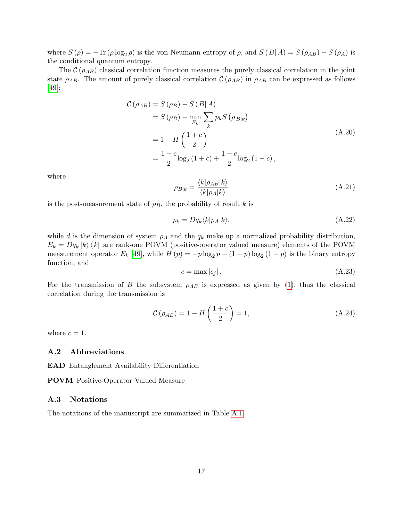where  $S(\rho) = -\text{Tr}(\rho \log_2 \rho)$  is the von Neumann entropy of  $\rho$ , and  $S(B|A) = S(\rho_{AB}) - S(\rho_A)$  is the conditional quantum entropy.

The  $\mathcal{C}(\rho_{AB})$  classical correlation function measures the purely classical correlation in the joint state  $\rho_{AB}$ . The amount of purely classical correlation  $\mathcal{C}(\rho_{AB})$  in  $\rho_{AB}$  can be expressed as follows [\[49\]](#page-12-4):

$$
\mathcal{C}(\rho_{AB}) = S(\rho_B) - \tilde{S}(B|A)
$$
  
=  $S(\rho_B) - \min_{E_k} \sum_k p_k S(\rho_{B|k})$   
=  $1 - H\left(\frac{1+c}{2}\right)$   
=  $\frac{1+c}{2}\log_2(1+c) + \frac{1-c}{2}\log_2(1-c)$ , (A.20)

where

$$
\rho_{B|k} = \frac{\langle k|\rho_{AB}|k\rangle}{\langle k|\rho_A|k\rangle} \tag{A.21}
$$

is the post-measurement state of  $\rho_B$ , the probability of result k is

$$
p_k = Dq_k \langle k|\rho_A|k\rangle, \tag{A.22}
$$

while d is the dimension of system  $\rho_A$  and the  $q_k$  make up a normalized probability distribution,  $E_k = Dq_k |k\rangle \langle k|$  are rank-one POVM (positive-operator valued measure) elements of the POVM measurement operator  $E_k$  [\[49\]](#page-12-4), while  $H(p) = -p \log_2 p - (1 - p) \log_2 (1 - p)$  is the binary entropy function, and

$$
c = \max |c_j| \tag{A.23}
$$

For the transmission of B the subsystem  $\rho_{AB}$  is expressed as given by [\(1\)](#page-3-0), thus the classical correlation during the transmission is

$$
\mathcal{C}\left(\rho_{AB}\right) = 1 - H\left(\frac{1+c}{2}\right) = 1,\tag{A.24}
$$

where  $c = 1$ .

## A.2 Abbreviations

EAD Entanglement Availability Differentiation

POVM Positive-Operator Valued Measure

#### A.3 Notations

The notations of the manuscript are summarized in Table [A.1.](#page-17-0)